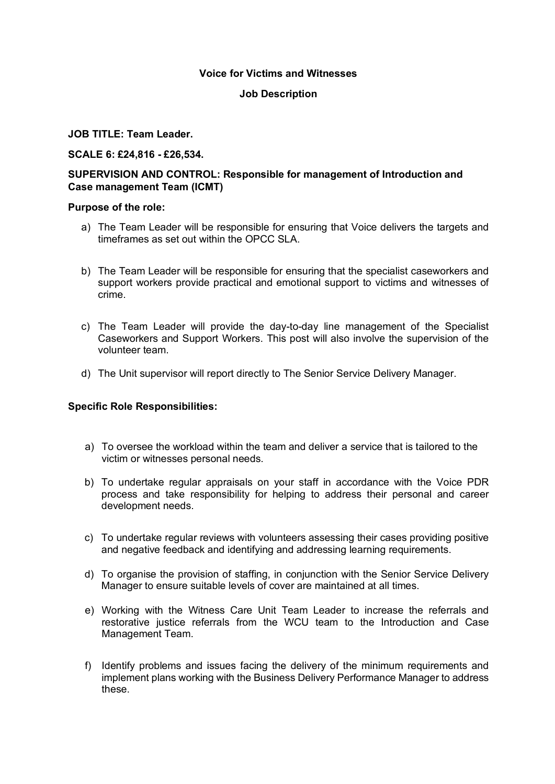## **Voice for Victims and Witnesses**

### **Job Description**

### **JOB TITLE: Team Leader.**

## **SCALE 6: £24,816 - £26,534.**

# **SUPERVISION AND CONTROL: Responsible for management of Introduction and Case management Team (ICMT)**

#### **Purpose of the role:**

- a) The Team Leader will be responsible for ensuring that Voice delivers the targets and timeframes as set out within the OPCC SLA.
- b) The Team Leader will be responsible for ensuring that the specialist caseworkers and support workers provide practical and emotional support to victims and witnesses of crime.
- c) The Team Leader will provide the day-to-day line management of the Specialist Caseworkers and Support Workers. This post will also involve the supervision of the volunteer team.
- d) The Unit supervisor will report directly to The Senior Service Delivery Manager.

# **Specific Role Responsibilities:**

- a) To oversee the workload within the team and deliver a service that is tailored to the victim or witnesses personal needs.
- b) To undertake regular appraisals on your staff in accordance with the Voice PDR process and take responsibility for helping to address their personal and career development needs.
- c) To undertake regular reviews with volunteers assessing their cases providing positive and negative feedback and identifying and addressing learning requirements.
- d) To organise the provision of staffing, in conjunction with the Senior Service Delivery Manager to ensure suitable levels of cover are maintained at all times.
- e) Working with the Witness Care Unit Team Leader to increase the referrals and restorative justice referrals from the WCU team to the Introduction and Case Management Team.
- f) Identify problems and issues facing the delivery of the minimum requirements and implement plans working with the Business Delivery Performance Manager to address these.